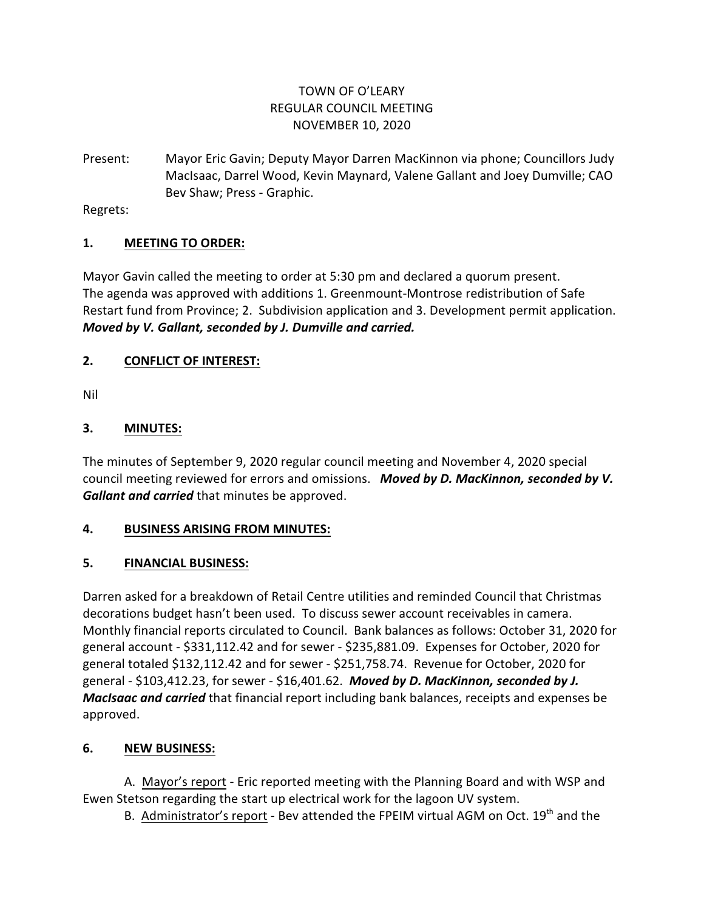## TOWN OF O'LEARY REGULAR COUNCIL MEETING NOVEMBER 10, 2020

Present: Mayor Eric Gavin; Deputy Mayor Darren MacKinnon via phone; Councillors Judy MacIsaac, Darrel Wood, Kevin Maynard, Valene Gallant and Joey Dumville; CAO Bev Shaw; Press - Graphic.

Regrets:

#### **1. MEETING TO ORDER:**

Mayor Gavin called the meeting to order at 5:30 pm and declared a quorum present. The agenda was approved with additions 1. Greenmount-Montrose redistribution of Safe Restart fund from Province; 2. Subdivision application and 3. Development permit application. *Moved by V. Gallant, seconded by J. Dumville and carried.*

### **2. CONFLICT OF INTEREST:**

Nil

### **3. MINUTES:**

The minutes of September 9, 2020 regular council meeting and November 4, 2020 special council meeting reviewed for errors and omissions. *Moved by D. MacKinnon, seconded by V. Gallant and carried* that minutes be approved.

#### **4. BUSINESS ARISING FROM MINUTES:**

#### **5. FINANCIAL BUSINESS:**

Darren asked for a breakdown of Retail Centre utilities and reminded Council that Christmas decorations budget hasn't been used. To discuss sewer account receivables in camera. Monthly financial reports circulated to Council. Bank balances as follows: October 31, 2020 for general account - \$331,112.42 and for sewer - \$235,881.09. Expenses for October, 2020 for general totaled \$132,112.42 and for sewer - \$251,758.74. Revenue for October, 2020 for general - \$103,412.23, for sewer - \$16,401.62. *Moved by D. MacKinnon, seconded by J. MacIsaac and carried* that financial report including bank balances, receipts and expenses be approved.

## **6. NEW BUSINESS:**

A. Mayor's report - Eric reported meeting with the Planning Board and with WSP and Ewen Stetson regarding the start up electrical work for the lagoon UV system.

B. Administrator's report - Bev attended the FPEIM virtual AGM on Oct.  $19<sup>th</sup>$  and the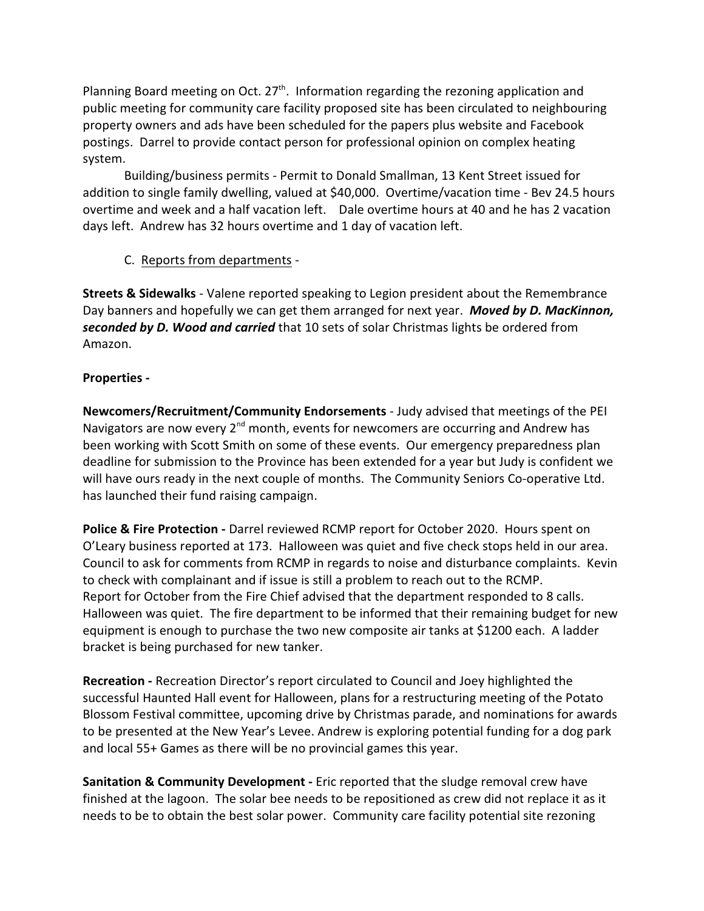Planning Board meeting on Oct.  $27<sup>th</sup>$ . Information regarding the rezoning application and public meeting for community care facility proposed site has been circulated to neighbouring property owners and ads have been scheduled for the papers plus website and Facebook postings. Darrel to provide contact person for professional opinion on complex heating system.

Building/business permits - Permit to Donald Smallman, 13 Kent Street issued for addition to single family dwelling, valued at \$40,000. Overtime/vacation time - Bev 24.5 hours overtime and week and a half vacation left. Dale overtime hours at 40 and he has 2 vacation days left. Andrew has 32 hours overtime and 1 day of vacation left.

C. Reports from departments -

**Streets & Sidewalks** - Valene reported speaking to Legion president about the Remembrance Day banners and hopefully we can get them arranged for next year. *Moved by D. MacKinnon, seconded by D. Wood and carried* that 10 sets of solar Christmas lights be ordered from Amazon.

#### **Properties -**

**Newcomers/Recruitment/Community Endorsements** - Judy advised that meetings of the PEI Navigators are now every 2<sup>nd</sup> month, events for newcomers are occurring and Andrew has been working with Scott Smith on some of these events. Our emergency preparedness plan deadline for submission to the Province has been extended for a year but Judy is confident we will have ours ready in the next couple of months. The Community Seniors Co-operative Ltd. has launched their fund raising campaign.

**Police & Fire Protection -** Darrel reviewed RCMP report for October 2020. Hours spent on O'Leary business reported at 173. Halloween was quiet and five check stops held in our area. Council to ask for comments from RCMP in regards to noise and disturbance complaints. Kevin to check with complainant and if issue is still a problem to reach out to the RCMP. Report for October from the Fire Chief advised that the department responded to 8 calls. Halloween was quiet. The fire department to be informed that their remaining budget for new equipment is enough to purchase the two new composite air tanks at \$1200 each. A ladder bracket is being purchased for new tanker.

**Recreation -** Recreation Director's report circulated to Council and Joey highlighted the successful Haunted Hall event for Halloween, plans for a restructuring meeting of the Potato Blossom Festival committee, upcoming drive by Christmas parade, and nominations for awards to be presented at the New Year's Levee. Andrew is exploring potential funding for a dog park and local 55+ Games as there will be no provincial games this year.

**Sanitation & Community Development -** Eric reported that the sludge removal crew have finished at the lagoon. The solar bee needs to be repositioned as crew did not replace it as it needs to be to obtain the best solar power. Community care facility potential site rezoning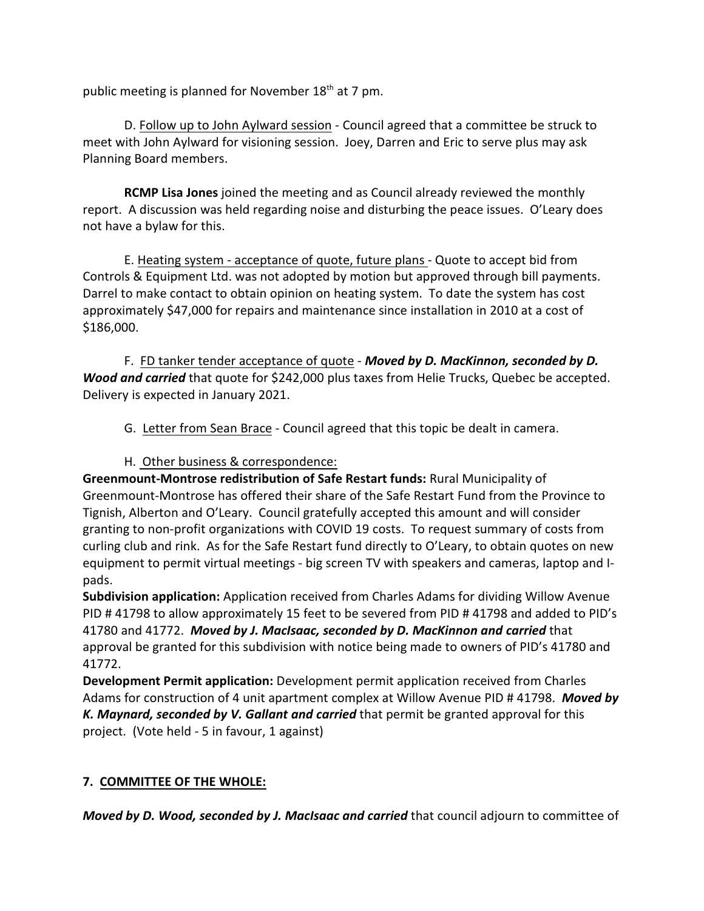public meeting is planned for November  $18<sup>th</sup>$  at 7 pm.

D. Follow up to John Aylward session - Council agreed that a committee be struck to meet with John Aylward for visioning session. Joey, Darren and Eric to serve plus may ask Planning Board members.

**RCMP Lisa Jones** joined the meeting and as Council already reviewed the monthly report. A discussion was held regarding noise and disturbing the peace issues. O'Leary does not have a bylaw for this.

E. Heating system - acceptance of quote, future plans - Quote to accept bid from Controls & Equipment Ltd. was not adopted by motion but approved through bill payments. Darrel to make contact to obtain opinion on heating system. To date the system has cost approximately \$47,000 for repairs and maintenance since installation in 2010 at a cost of \$186,000.

F. FD tanker tender acceptance of quote - *Moved by D. MacKinnon, seconded by D. Wood and carried* that quote for \$242,000 plus taxes from Helie Trucks, Quebec be accepted. Delivery is expected in January 2021.

G. Letter from Sean Brace - Council agreed that this topic be dealt in camera.

## H. Other business & correspondence:

**Greenmount-Montrose redistribution of Safe Restart funds:** Rural Municipality of Greenmount-Montrose has offered their share of the Safe Restart Fund from the Province to Tignish, Alberton and O'Leary. Council gratefully accepted this amount and will consider granting to non-profit organizations with COVID 19 costs. To request summary of costs from curling club and rink. As for the Safe Restart fund directly to O'Leary, to obtain quotes on new equipment to permit virtual meetings - big screen TV with speakers and cameras, laptop and Ipads.

**Subdivision application:** Application received from Charles Adams for dividing Willow Avenue PID # 41798 to allow approximately 15 feet to be severed from PID # 41798 and added to PID's 41780 and 41772. *Moved by J. MacIsaac, seconded by D. MacKinnon and carried* that approval be granted for this subdivision with notice being made to owners of PID's 41780 and 41772.

**Development Permit application:** Development permit application received from Charles Adams for construction of 4 unit apartment complex at Willow Avenue PID # 41798. *Moved by K. Maynard, seconded by V. Gallant and carried* that permit be granted approval for this project. (Vote held - 5 in favour, 1 against)

## **7. COMMITTEE OF THE WHOLE:**

*Moved by D. Wood, seconded by J. MacIsaac and carried* that council adjourn to committee of